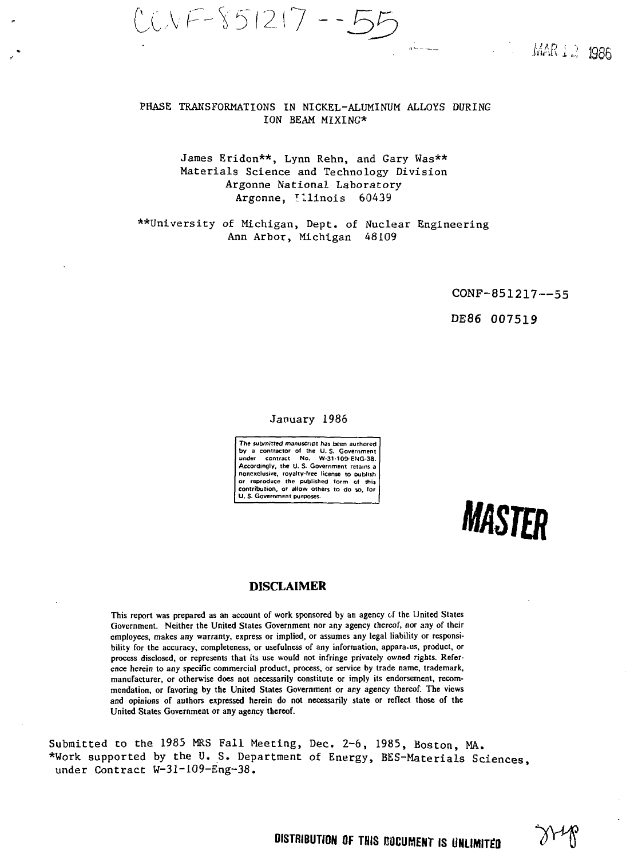CA/—Y 512 **--33**

**MAR 12 1986** 

## PHASE TRANSFORMATIONS IN NICKEL-ALUMINUM ALLOYS DURING ION BEAM MIXING\*

# James Eridon\*\*, Lynn Rehn, and Gary Was\*\* Materials Science and Technology Division Argonne National Laboratory Argonne, Illinois 60439

\*\*University of Michigan, Dept. of Nuclear Engineering Ann Arbor, Michigan 48109

CONF-851217—55

DE86 007519

## January 1986

**The submitted manuscript has been authored by a contractor of the U. S. Government under contract No. W-31-109-ENG-38. Accordingly, the U. S. Government retains a nonexclusive, royalty-free license to publish or reproduce the published form of this contribution, or allow others to do so, for U. S. Government purposes.**

*MASTER*

# **DISCLAIMER**

This report was prepared as an account of work sponsored by an agency of the United States Government. Neither the United States Government nor any agency thereof, nor any of their employees, makes any warranty, express or implied, or assumes any legal liability or responsibility for the accuracy, completeness, or usefulness of any information, apparatus, product, or process disclosed, or represents that its use would not infringe privately owned rights. Reference herein to any specific commercial product, process, or service by trade name, trademark, manufacturer, or otherwise does not necessarily constitute or imply its endorsement, recommendation, or favoring by the United States Government or any agency thereof. The views and opinions of authors expressed herein do not necessarily state or reflect those of the United States Government or any agency thereof.

Submitted to the 1985 MRS Fall Meeting, Dec. 2-6, 1985, Boston, MA. \*Work supported by the U. S. Department of Energy, BES-Materials Sciences under Contract W-31-109-Eng-38.

 $\partial Y^{\mu}$ 

**DISTRIBUTION OF THIS BOCUMENT IS UNLIMITED**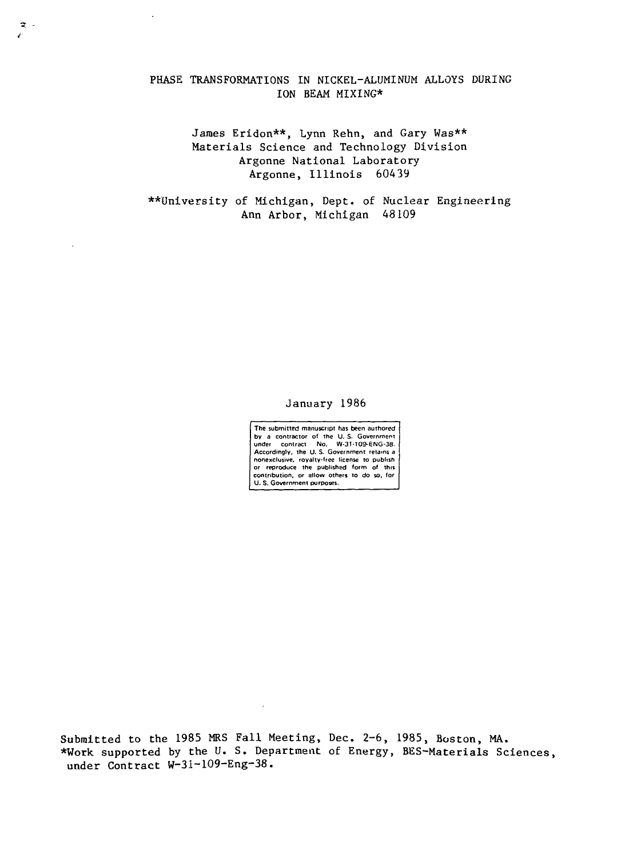# PHASE TRANSFORMATIONS IN NICKEL-ALUMINUM ALLOYS DURING ION BEAM MIXING\*

 $\ddot{\phantom{a}}$ 

 $\mathbb{R}$ .

James Eridon\*\*, Lynn Rehn, and Gary Was\*\* Materials Science and Technology Division Argonne National Laboratory Argonne, Illinois 60439

\*\*University of Michigan, Dept. of Nuclear Engineering Ann Arbor, Michigan 48109

## January 1986

The submitted manuscript has been authored by a contractor of the U. S. Government under contract No. W-3M09-6NG-38. Accordingly, the U.S. Government retains a nonexclusive, royalty-free license to publish or reproduce the published form of this contribution, or allow others to do so, for U. S. Government purposes.

Submitted to the 1985 MRS Fall Meeting, Dec. 2-6, 1985, Boston, MA. \*Work supported by the U. S. Department of Energy, BES-Materials Sciences, under Contract W-31-109-Eng-38.

 $\ddot{\phantom{a}}$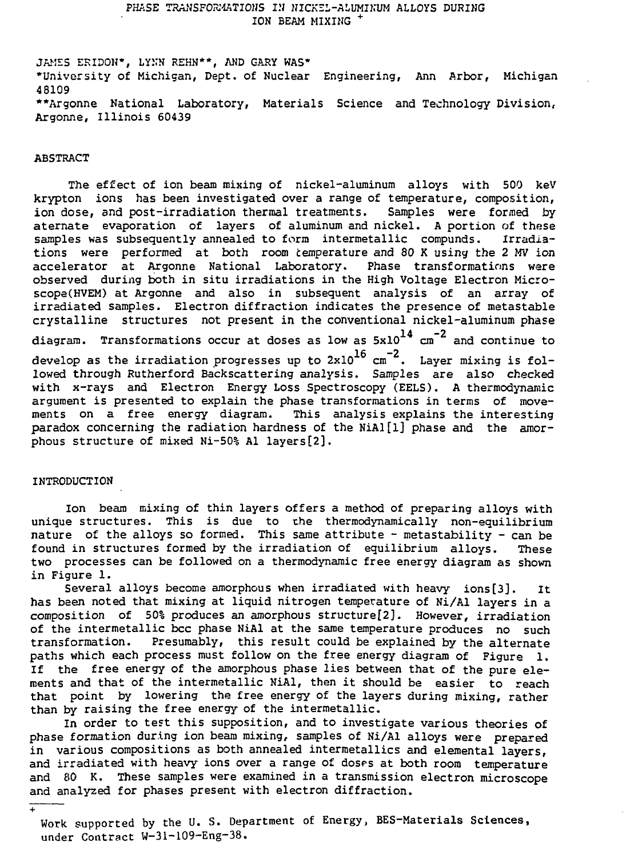# PHASE TRANSFORMATIONS IN NICKEL-ALUMINUM ALLOYS DURING ION BEAM MIXING <sup>+</sup>

JAKES ERIDON\*, LYKN REHN\*\*, AND GARY WAS\* •University of Michigan, Dept. of Nuclear Engineering, Ann Arbor, Michigan 48109 \*\*Argonne National Laboratory, Materials Science and Technology Division, Argonne, Illinois 60439

### ABSTRACT

The effect of ion beam mixing of nickel-aluminum alloys with 500 keV krypton ions has been investigated over a range of temperature, composition, ion dose, and post-irradiation thermal treatments. Samples were formed by aternate evaporation of layers of aluminum and nickel. A portion of these samples was subsequently annealed to form intermetallic compunds. Irradiations were performed at both room temperature and 80 K using the 2 MV ion accelerator at Argonne National Laboratory. Phase transformations were observed during both in situ irradiations in the High Voltage Electron Microscopa(HVEM) at Argonne and also in subsequent analysis of an array of irradiated samples. Electron diffraction indicates the presence of metastable crystalline structures not present in the conventional nickel-aluminum phase  $14 \frac{m-2}{2}$ diagram. Transformations occur at doses as low as 5x10 cm and continue to develop as the irradiation progresses up to  $2x10^{16}$  cm<sup>-2</sup>. Layer mixing is followed through Rutherford Backscattering analysis. Samples are also checked with x-rays and Electron Energy Loss Spectroscopy (EELS). A thermodynamic argument is presented to explain the phase transformations in terms of movements on a free energy diagram. This analysis explains the interesting paradox concerning the radiation hardness of the NiAl $[1]$  phase and the amorphous structure of mixed Ni-50% Al layers [2].

#### INTRODUCTION

 $\overline{1}$ 

Ion beam mixing of thin layers offers a method of preparing alloys with unique structures. This is due to the thermodynamically non-equilibrium nature of the alloys so formed. This same attribute - metastability - can be found in structures formed by the irradiation of equilibrium alloys. These two processes can be followed on a thermodynamic free energy diagram as shown in Figure 1.

Several alloys become amorphous when irradiated with heavy ions[3]. It has been noted that mixing at liquid nitrogen temperature of Ni/Al layers in a composition of 50% produces an amorphous structure[2]. However, irradiation of the intermetallic bcc phase NiAl at the same temperature produces no such transformation. Presumably, this result could be explained by the alternate paths which each process must follow on the free energy diagram of Figure 1. If the free energy of the amorphous phase lies between that of the pure elements and that of the intermetallic NiAl, then it should be easier to reach that point by lowering the free energy of the layers during mixing, rather than by raising the free energy of the intermetallic.

In order to test this supposition, and to investigate various theories of phase formation during ion beam mixing, samples of Ni/Al alloys were prepared in various compositions as both annealed intermetallics and elemental layers, and irradiated with heavy ions over a range of doses at both room temperature and 80 K. These samples were examined in a transmission electron microscope and analyzed for phases present with electron diffraction.

Work supported by the U. S. Department of Energy, BES-Materials Sciences, under Contract W-31-109-Eng-38.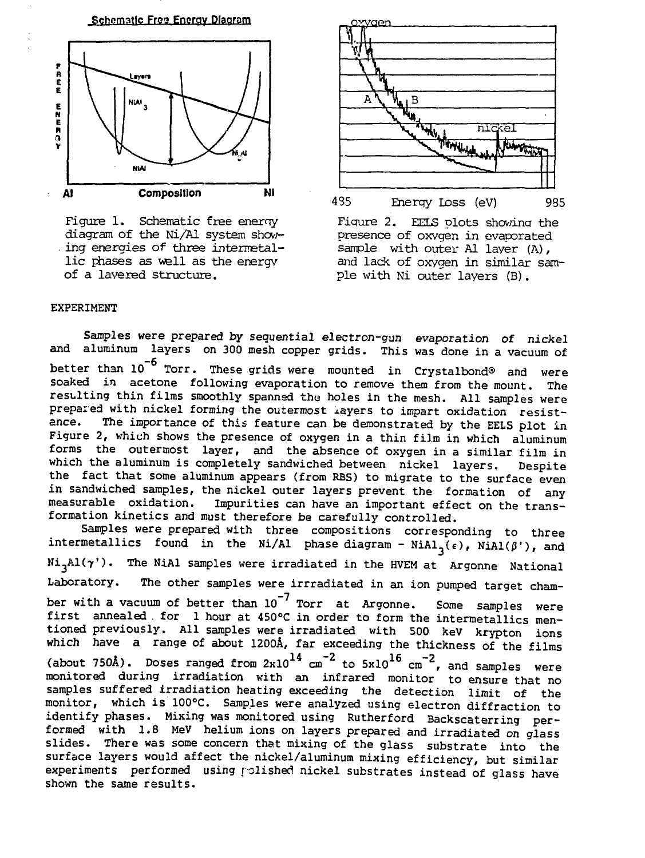

Figure 1. Schematic free enerny diagram of the Ni/Al system showing energies of three intermetallic phases as well as the energy of a layered structure.





## EXPERIMENT

Samples were prepared by sequential electron-gun evaporation of nickel and aluminum layers on 300 mesh copper grids. This was done in a vacuum of better than  $10^{-6}$  Torr. These grids were mounted in Crystalbond® and were soaked in acetone following evaporation to remove them from the mount. The resulting thin films smoothly spanned the holes in the mesh. All samples were prepared with nickel forming the outermost layers to impart oxidation resist-<br>ance. The importance of this feature can be demonstrated by the FFIS plot in The importance of this feature can be demonstrated by the EELS plot in Figure 2, which shows the presence of oxygen in a thin film in which aluminum forms the outermost layer, and the absence of oxygen in a similar film in which the aluminum is completely sandwiched between nickel layers. Despite the fact that some aluminum appears (from RBS) to migrate to the surface even in sandwiched samples, the nickel outer layers prevent the formation of any<br>measurable oxidation. Impurities can have an important effect on the trans-Impurities can have an important effect on the transformation kinetics and must therefore be carefully controlled.

Samples were prepared with three compositions corresponding to three intermetallics found in the Ni/Al phase diagram - NiAl<sub>3</sub>( $\epsilon$ ), NiAl( $\beta$ '), and  $Ni<sub>3</sub>A1(\gamma')$ . The NiAl samples were irradiated in the HVEM at Argonne National Laboratory. The other samples were irrradiated in an ion pumped target chamber with a vacuum of better than  $10^{-7}$  Torr at Argonne. Some samples were first annealed . for 1 hour at 450°C in order to form the intermetallics mentioned previously. All samples were irradiated with 500 keV krypton ions which have a range of about 1200A, far exceeding the thickness of the films (about 750A). Doses ranged from  $2x10^{14}$  cm $^{-2}$  to  $5x10^{10}$  cm $^{-2}$ , and samples were monitored during irradiation with an infrared monitor to ensure that no samples suffered irradiation heating exceeding the detection limit of the monitor, which is 100°C. Samples were analyzed using electron diffraction to identify phases. Mixing was monitored using Rutherford Backscaterring performed with 1.8 MeV helium ions on layers prepared and irradiated on glass slides. There was some concern that mixing of the glass substrate into the surface layers would affect the nickel/aluminum mixing efficiency, but similar experiments performed using polished nickel substrates instead of glass have shown the same results.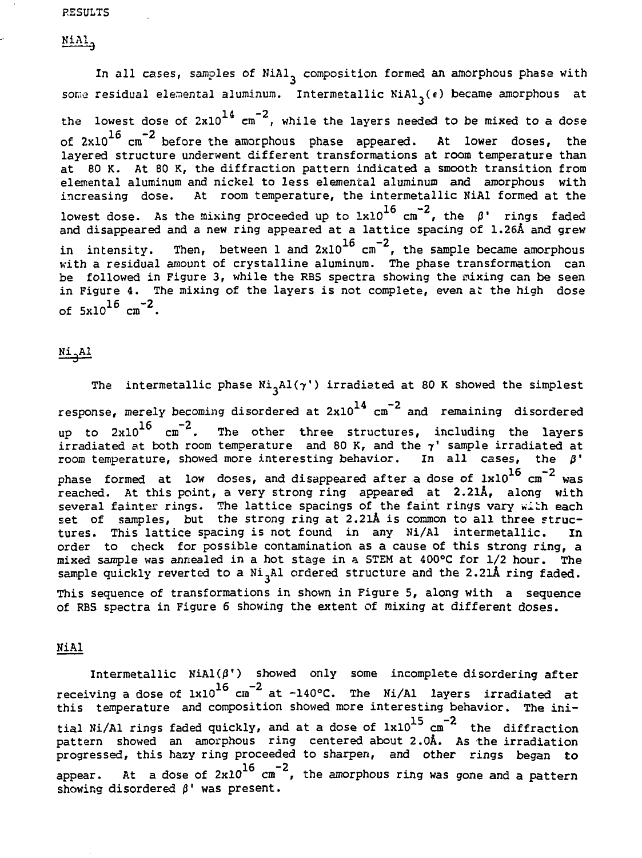### **RESULTS**

NiAl,

In all cases, samples of NiAl<sub>3</sub> composition formed an amorphous phase with some residual elemental aluminum. Intermetallic NiAl<sub>2</sub>( $\epsilon$ ) became amorphous at the lowest dose of  $2x10^{14}$   $\rm{cm}^{-2}$ , while the layers needed to be mixed to a dose of  $2 \times 10^{16}$  cm<sup>-2</sup> before the amorphous phase appeared. At lower doses, the layered structure underwent different transformations at room temperature than at 80 K. At 80 K, the diffraction pattern indicated a smooth transition from elemental aluminum and nickel to less elemental aluminum and amorphous with increasing dose. At room temperature, the intermetallic NiAl formed at the increasing dose. At room temperature, the intermetallic NiAl formed at the  $\frac{16}{16}$ lowest dose. As the mixing proceeded up to  $1x10^{-8}$  cm  $^{-}$ , the  $\beta$ ' rings faded and disappeared and a new ring appeared at a lattice spacing of 1.26A and grew in intensity. Then, between 1 and  $2 \mathrm{x} 10^{-\circ}$  cm  $^{\ast}$ , the sample became amorphous with a residual amount of crystalline aluminum. The phase transformation can be followed in Figure 3, while the RBS spectra showing the mixing can be seen in Figure 4. The mixing of the layers is not complete, even at the high dose of  $5x10^{16}$  cm<sup>-2</sup>.

Ni.Al

The intermetallic phase  $Ni<sub>3</sub>Al(\gamma')$  irradiated at 80 K showed the simplest response, merely becoming disordered at  $2x10^{14}$   $cm^{-2}$  and remaining disordered response, merely becoming disordered at 2x10 cm and remaining disordered  $10$   $\text{cm}$   $$ irradiated at both room temperature  $\,$  and 80 K, and the  $\gamma^\ast$  sample irradiated at room temperature, showed more interesting behavior. In all cases, the  $\beta$ ' phase formed at low doses, and disappeared after a dose of  $1 \times 10^{16}$  cm<sup>-2</sup> was reached. At this point, a very strong ring appeared at 2.21Å, along with several fainter rings. The lattice spacings of the faint rings vary with each several fainter rings. The lattice spacings of the faint rings vary will each. set of samples, but the strong fing at 2.2lA is common to all the struc-  $\tau_{\rm m}$ tures. This lattice spacing is not found in any Ni/Al intermetallic. In order to check for possible contamination as a cause of this strong ring, a mixed sample was annealed in a hot stage in a STEM at 400°C for 1/2 hour. The sample quickly reverted to a  $Ni<sub>2</sub>Al$  ordered structure and the 2.21Å ring faded.

This sequence of transformations in shown in Figure 5, along with a sequence of RBS spectra in Figure 6 showing the extent of mixing at different doses.

NiAl

Intermetallic  $Nil(\beta')$  showed only some incomplete disordering after receiving a dose of 1x10<sup>2</sup> cm  $\tilde{a}$  at -140°C. The Ni/Al layers irradiated at this temperature and composition showed more interesting behavior. The initial Ni/Al rings faded quickly, and at a dose of lxl0<sup>15</sup> cm<sup>-2</sup> the diffraction pattern showed an amorphous ring centered about 2.0A. As the irradiation progressed, this hazy ring proceeded to sharpen, and other rings began to  $16 -2$ appear. At a dose of 2x10 cm , the amorphous ring was gone and a pattern showing disordered  $\beta'$  was present.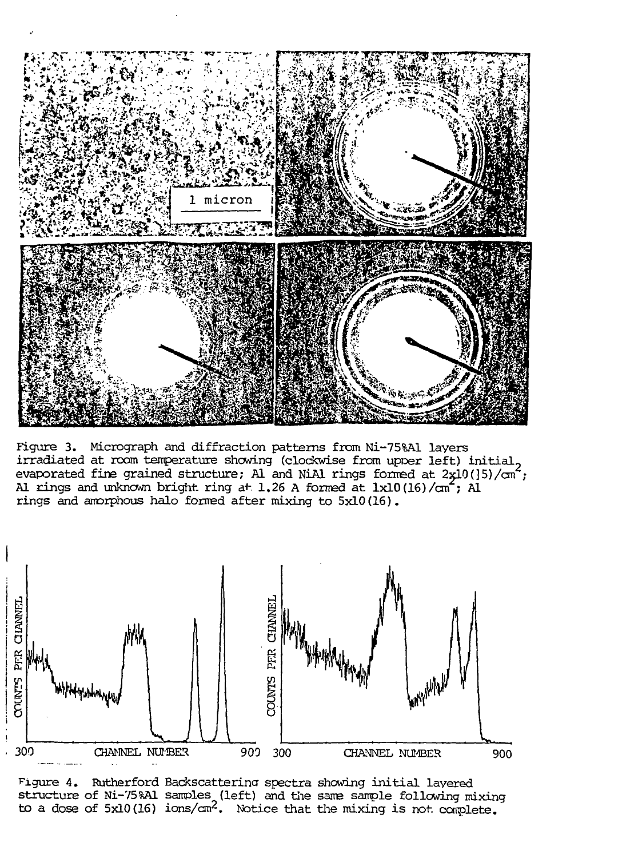

Figure 3. Micrograph and diffraction patterns from Ni-75%A1 layers irradiated at room temperature showing (clockwise from upoer left) initial., evaporated fine grained structure; Al and NiAl rings formed at  $2x10(]5)/\text{cm}^2$ ; Al rings and unknown bright ring at 1.26 A formed at  $1x10(16)/cn^2$ ; Al rings and amorphous halo formed after mixing to 5x10(16).



Figure 4. Rutherford Backscatterina spectra showing initial layered structure of Ni-75?A1 samples (left) and the same sample following mixing to a dose of  $5x10(16)$  ions/cm<sup>2</sup>. Notice that the mixing is not complete.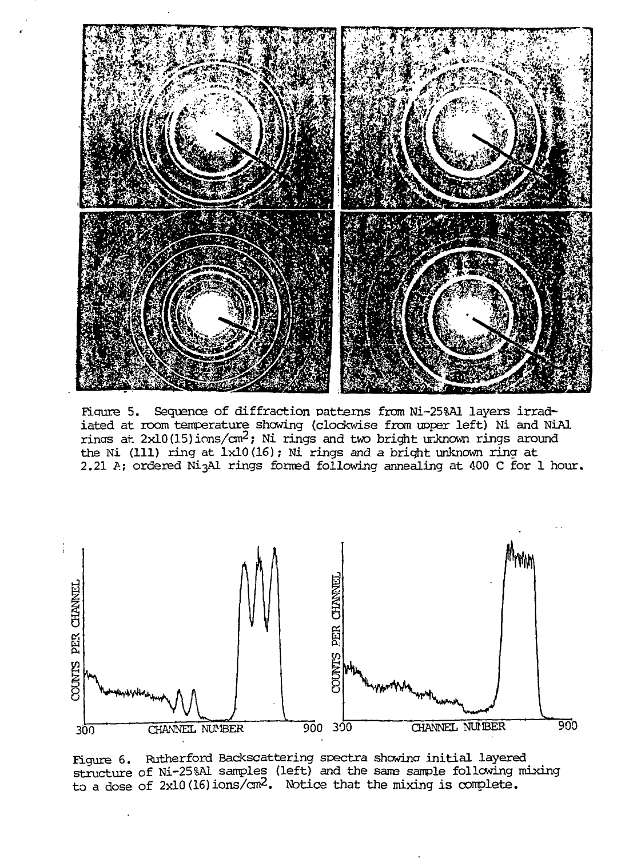

Figure 5. Sequence of diffraction patterns from Ni-25%A1 layers irradiated at room temperature showing (clockwise from upper left) Ni and NiAl rings at  $2x10(15)$  ions/cm<sup>2</sup>; Ni rings and two bright unknown rings around the Ni (111) ring at 1x10(16); Ni rings and a bright unknown ring at 2.21 A; ordered Ni3Al rings formed following annealing at 400 C for 1 hour.



Figure 6. Rutherford Backscattering spectra showing initial layered structure of Ni-25%Al samples (left) and the same sample following mixing to a dose of 2x10 (16) ions/cm<sup>2</sup> . Notice that the mixing is complete.